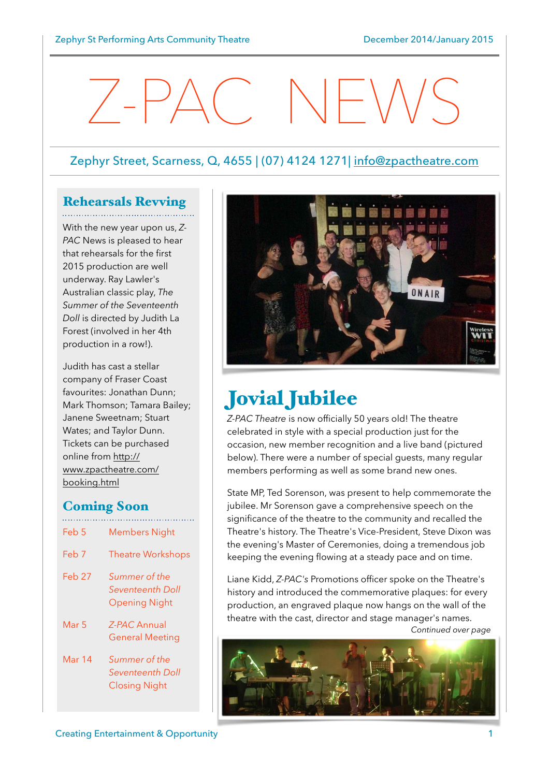# $\angle$  -  $\angle$   $\angle$

## Zephyr Street, Scarness, Q, 4655 | (07) 4124 1271| [info@zpactheatre.com](mailto:info@zpactheatre.com)

## Rehearsals Revving

With the new year upon us, *Z-PAC* News is pleased to hear that rehearsals for the first 2015 production are well underway. Ray Lawler's Australian classic play, *The Summer of the Seventeenth Doll* is directed by Judith La Forest (involved in her 4th production in a row!).

Judith has cast a stellar company of Fraser Coast favourites: Jonathan Dunn; Mark Thomson; Tamara Bailey; Janene Sweetnam; Stuart Wates; and Taylor Dunn. Tickets can be purchased online from http:// [www.zpactheatre.com/](http://www.zpactheatre.com/booking.html) booking.html

## Coming Soon

Feb 5 Members Night Feb 7 Theatre Workshops Feb 27 *Summer of the Seventeenth Doll* Opening Night Mar 5 *Z-PAC* Annual General Meeting Mar 14 *Summer of the Seventeenth Doll* Closing Night



## Jovial Jubilee

*Z-PAC Theatre* is now officially 50 years old! The theatre celebrated in style with a special production just for the occasion, new member recognition and a live band (pictured below). There were a number of special guests, many regular members performing as well as some brand new ones.

State MP, Ted Sorenson, was present to help commemorate the jubilee. Mr Sorenson gave a comprehensive speech on the significance of the theatre to the community and recalled the Theatre's history. The Theatre's Vice-President, Steve Dixon was the evening's Master of Ceremonies, doing a tremendous job keeping the evening flowing at a steady pace and on time.

Liane Kidd, *Z-PAC's* Promotions officer spoke on the Theatre's history and introduced the commemorative plaques: for every production, an engraved plaque now hangs on the wall of the theatre with the cast, director and stage manager's names.

*Continued over page*

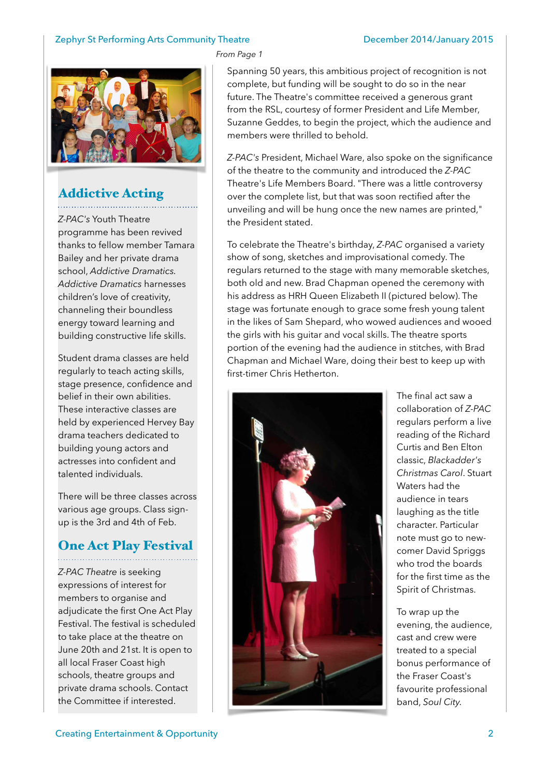#### Zephyr St Performing Arts Community Theatre December 2014/January 2015



## Addictive Acting

*Z-PAC's* Youth Theatre programme has been revived thanks to fellow member Tamara Bailey and her private drama school, *Addictive Dramatics. Addictive Dramatics* harnesses children's love of creativity, channeling their boundless energy toward learning and building constructive life skills.

Student drama classes are held regularly to teach acting skills, stage presence, confidence and belief in their own abilities. These interactive classes are held by experienced Hervey Bay drama teachers dedicated to building young actors and actresses into confident and talented individuals.

There will be three classes across various age groups. Class signup is the 3rd and 4th of Feb.

## One Act Play Festival

*Z-PAC Theatre* is seeking expressions of interest for members to organise and adjudicate the first One Act Play Festival. The festival is scheduled to take place at the theatre on June 20th and 21st. It is open to all local Fraser Coast high schools, theatre groups and private drama schools. Contact the Committee if interested.

#### *From Page 1*

Spanning 50 years, this ambitious project of recognition is not complete, but funding will be sought to do so in the near future. The Theatre's committee received a generous grant from the RSL, courtesy of former President and Life Member, Suzanne Geddes, to begin the project, which the audience and members were thrilled to behold.

*Z-PAC's* President, Michael Ware, also spoke on the significance of the theatre to the community and introduced the *Z-PAC* Theatre's Life Members Board. "There was a little controversy over the complete list, but that was soon rectified after the unveiling and will be hung once the new names are printed," the President stated.

To celebrate the Theatre's birthday, *Z-PAC* organised a variety show of song, sketches and improvisational comedy. The regulars returned to the stage with many memorable sketches, both old and new. Brad Chapman opened the ceremony with his address as HRH Queen Elizabeth II (pictured below). The stage was fortunate enough to grace some fresh young talent in the likes of Sam Shepard, who wowed audiences and wooed the girls with his guitar and vocal skills. The theatre sports portion of the evening had the audience in stitches, with Brad Chapman and Michael Ware, doing their best to keep up with first-timer Chris Hetherton.



The final act saw a collaboration of *Z-PAC* regulars perform a live reading of the Richard Curtis and Ben Elton classic, *Blackadder's Christmas Carol*. Stuart Waters had the audience in tears laughing as the title character. Particular note must go to newcomer David Spriggs who trod the boards for the first time as the Spirit of Christmas.

To wrap up the evening, the audience, cast and crew were treated to a special bonus performance of the Fraser Coast's favourite professional band, *Soul City.*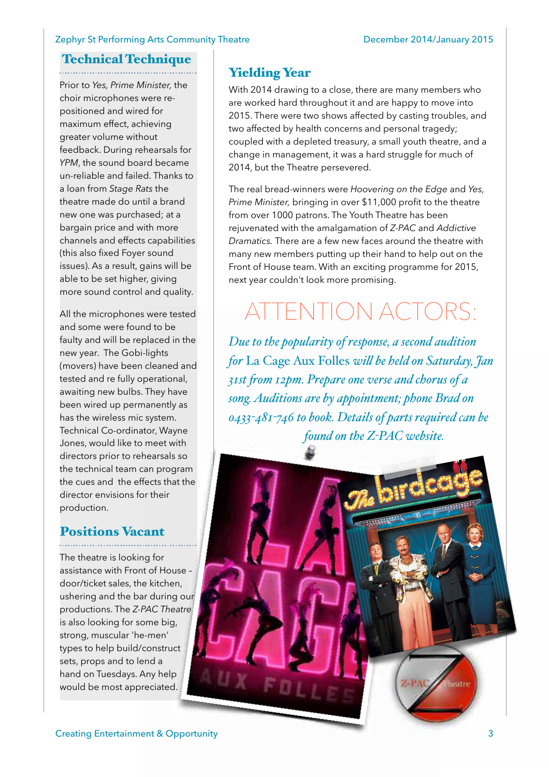#### Zephyr St Performing Arts Community Theatre **December 2014/January 2015**

### Technical Technique

Prior to *Yes, Prime Minister,* the choir microphones were repositioned and wired for maximum effect, achieving greater volume without feedback. During rehearsals for YPM, the sound board became un-reliable and failed. Thanks to a loan from *Stage Rats* the theatre made do until a brand new one was purchased; at a bargain price and with more channels and effects capabilities (this also fixed Foyer sound issues). As a result, gains will be able to be set higher, giving more sound control and quality.

All the microphones were tested and some were found to be faulty and will be replaced in the new year. The Gobi-lights (movers) have been cleaned and tested and re fully operational, awaiting new bulbs. They have been wired up permanently as has the wireless mic system. Technical Co-ordinator, Wayne Jones, would like to meet with directors prior to rehearsals so the technical team can program the cues and the effects that the director envisions for their production.

## Positions Vacant

The theatre is looking for assistance with Front of House – door/ticket sales, the kitchen, ushering and the bar during our productions. The *Z-PAC Theatre* is also looking for some big, strong, muscular 'he-men' types to help build/construct sets, props and to lend a hand on Tuesdays. Any help would be most appreciated.

## Yielding Year

With 2014 drawing to a close, there are many members who are worked hard throughout it and are happy to move into 2015. There were two shows affected by casting troubles, and two affected by health concerns and personal tragedy; coupled with a depleted treasury, a small youth theatre, and a change in management, it was a hard struggle for much of 2014, but the Theatre persevered.

The real bread-winners were *Hoovering on the Edge* and *Yes, Prime Minister,* bringing in over \$11,000 profit to the theatre from over 1000 patrons. The Youth Theatre has been rejuvenated with the amalgamation of *Z-PAC* and *Addictive Dramatics.* There are a few new faces around the theatre with many new members putting up their hand to help out on the Front of House team. With an exciting programme for 2015, next year couldn't look more promising.

## TENTION ACTORS:

*Due to the popularity of response, a second audition for* La Cage Aux Folles *wil be held on Saturday, Jan 31st fom 12pm. Prepare one verse and chorus of a song. Auditions are by appointment; phone Brad on 0433-481-746 to book. Details of parts required can be found on the Z-PAC website.*